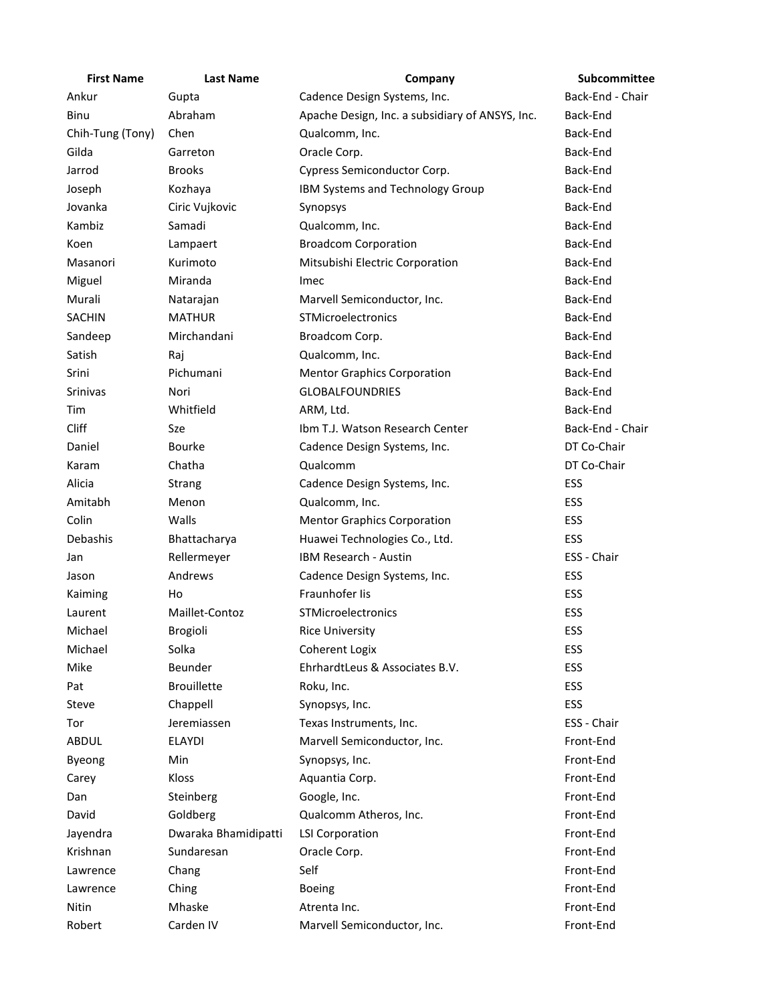| <b>First Name</b> | <b>Last Name</b>     | Company                                         | Subcommittee     |
|-------------------|----------------------|-------------------------------------------------|------------------|
| Ankur             | Gupta                | Cadence Design Systems, Inc.                    | Back-End - Chair |
| Binu              | Abraham              | Apache Design, Inc. a subsidiary of ANSYS, Inc. | Back-End         |
| Chih-Tung (Tony)  | Chen                 | Qualcomm, Inc.                                  | Back-End         |
| Gilda             | Garreton             | Oracle Corp.                                    | Back-End         |
| Jarrod            | <b>Brooks</b>        | Cypress Semiconductor Corp.                     | Back-End         |
| Joseph            | Kozhaya              | IBM Systems and Technology Group                | Back-End         |
| Jovanka           | Ciric Vujkovic       | Synopsys                                        | Back-End         |
| Kambiz            | Samadi               | Qualcomm, Inc.                                  | Back-End         |
| Koen              | Lampaert             | <b>Broadcom Corporation</b>                     | Back-End         |
| Masanori          | Kurimoto             | Mitsubishi Electric Corporation                 | Back-End         |
| Miguel            | Miranda              | Imec                                            | Back-End         |
| Murali            | Natarajan            | Marvell Semiconductor, Inc.                     | Back-End         |
| <b>SACHIN</b>     | <b>MATHUR</b>        | STMicroelectronics                              | Back-End         |
| Sandeep           | Mirchandani          | Broadcom Corp.                                  | Back-End         |
| Satish            | Raj                  | Qualcomm, Inc.                                  | Back-End         |
| Srini             | Pichumani            | <b>Mentor Graphics Corporation</b>              | Back-End         |
| Srinivas          | Nori                 | <b>GLOBALFOUNDRIES</b>                          | Back-End         |
| Tim               | Whitfield            | ARM, Ltd.                                       | Back-End         |
| Cliff             | Sze                  | Ibm T.J. Watson Research Center                 | Back-End - Chair |
| Daniel            | Bourke               | Cadence Design Systems, Inc.                    | DT Co-Chair      |
| Karam             | Chatha               | Qualcomm                                        | DT Co-Chair      |
| Alicia            | Strang               | Cadence Design Systems, Inc.                    | ESS              |
| Amitabh           | Menon                | Qualcomm, Inc.                                  | ESS              |
| Colin             | Walls                | <b>Mentor Graphics Corporation</b>              | ESS              |
| Debashis          | Bhattacharya         | Huawei Technologies Co., Ltd.                   | ESS              |
| Jan               | Rellermeyer          | IBM Research - Austin                           | ESS - Chair      |
| Jason             | Andrews              | Cadence Design Systems, Inc.                    | ESS              |
| Kaiming           | Ho                   | Fraunhofer lis                                  | ESS              |
| Laurent           | Maillet-Contoz       | STMicroelectronics                              | ESS              |
| Michael           | <b>Brogioli</b>      | <b>Rice University</b>                          | ESS              |
| Michael           | Solka                | <b>Coherent Logix</b>                           | ESS              |
| Mike              | Beunder              | EhrhardtLeus & Associates B.V.                  | ESS              |
| Pat               | <b>Brouillette</b>   | Roku, Inc.                                      | ESS              |
| Steve             | Chappell             | Synopsys, Inc.                                  | ESS              |
| Tor               | Jeremiassen          | Texas Instruments, Inc.                         | ESS - Chair      |
| ABDUL             | <b>ELAYDI</b>        | Marvell Semiconductor, Inc.                     | Front-End        |
| Byeong            | Min                  | Synopsys, Inc.                                  | Front-End        |
| Carey             | Kloss                | Aquantia Corp.                                  | Front-End        |
| Dan               | Steinberg            | Google, Inc.                                    | Front-End        |
| David             | Goldberg             | Qualcomm Atheros, Inc.                          | Front-End        |
| Jayendra          | Dwaraka Bhamidipatti | <b>LSI Corporation</b>                          | Front-End        |
| Krishnan          | Sundaresan           | Oracle Corp.                                    | Front-End        |
| Lawrence          | Chang                | Self                                            | Front-End        |
| Lawrence          | Ching                | <b>Boeing</b>                                   | Front-End        |
| Nitin             | Mhaske               | Atrenta Inc.                                    | Front-End        |
| Robert            | Carden IV            | Marvell Semiconductor, Inc.                     | Front-End        |